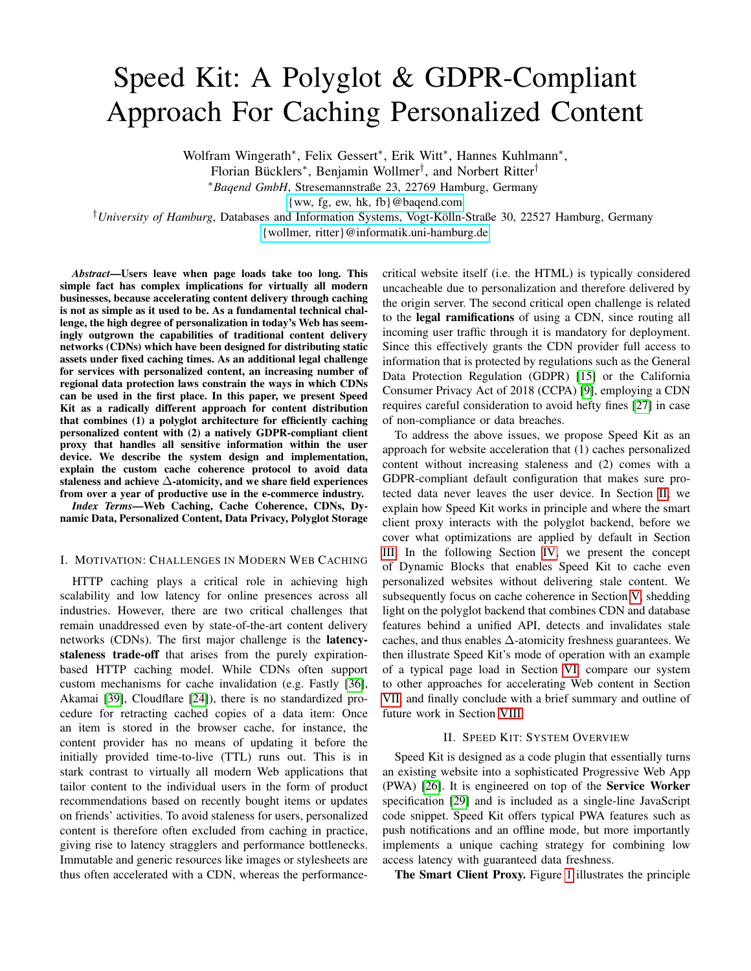# Speed Kit: A Polyglot & GDPR-Compliant Approach For Caching Personalized Content

Wolfram Wingerath\*, Felix Gessert\*, Erik Witt\*, Hannes Kuhlmann\*,

Florian Bücklers<sup>∗</sup> , Benjamin Wollmer† , and Norbert Ritter†

<sup>∗</sup>*Baqend GmbH*, Stresemannstraße 23, 22769 Hamburg, Germany

[{ww, fg, ew, hk, fb}@baqend.com](mailto:ww@baqend.com,fg@baqend.com,ew@baqend.com,hk@baqend.com,fb@baqend.com)

†*University of Hamburg*, Databases and Information Systems, Vogt-Kölln-Straße 30, 22527 Hamburg, Germany

[{wollmer, ritter}@informatik.uni-hamburg.de](mailto:wollmer@informatik.uni-hamburg.de,ritter@informatik.uni-hamburg.de?cc=ww@baqend.com,fg@baqend.com,ew@baqend.com,hk@baqend.com,fb@baqend.com&)

*Abstract*—Users leave when page loads take too long. This simple fact has complex implications for virtually all modern businesses, because accelerating content delivery through caching is not as simple as it used to be. As a fundamental technical challenge, the high degree of personalization in today's Web has seemingly outgrown the capabilities of traditional content delivery networks (CDNs) which have been designed for distributing static assets under fixed caching times. As an additional legal challenge for services with personalized content, an increasing number of regional data protection laws constrain the ways in which CDNs can be used in the first place. In this paper, we present Speed Kit as a radically different approach for content distribution that combines (1) a polyglot architecture for efficiently caching personalized content with (2) a natively GDPR-compliant client proxy that handles all sensitive information within the user device. We describe the system design and implementation, explain the custom cache coherence protocol to avoid data staleness and achieve  $\Delta$ -atomicity, and we share field experiences from over a year of productive use in the e-commerce industry.

*Index Terms*—Web Caching, Cache Coherence, CDNs, Dynamic Data, Personalized Content, Data Privacy, Polyglot Storage

## I. MOTIVATION: CHALLENGES IN MODERN WEB CACHING

HTTP caching plays a critical role in achieving high scalability and low latency for online presences across all industries. However, there are two critical challenges that remain unaddressed even by state-of-the-art content delivery networks (CDNs). The first major challenge is the latencystaleness trade-off that arises from the purely expirationbased HTTP caching model. While CDNs often support custom mechanisms for cache invalidation (e.g. Fastly [\[36\]](#page-5-0), Akamai [\[39\]](#page-5-1), Cloudflare [\[24\]](#page-5-2)), there is no standardized procedure for retracting cached copies of a data item: Once an item is stored in the browser cache, for instance, the content provider has no means of updating it before the initially provided time-to-live (TTL) runs out. This is in stark contrast to virtually all modern Web applications that tailor content to the individual users in the form of product recommendations based on recently bought items or updates on friends' activities. To avoid staleness for users, personalized content is therefore often excluded from caching in practice, giving rise to latency stragglers and performance bottlenecks. Immutable and generic resources like images or stylesheets are thus often accelerated with a CDN, whereas the performancecritical website itself (i.e. the HTML) is typically considered uncacheable due to personalization and therefore delivered by the origin server. The second critical open challenge is related to the legal ramifications of using a CDN, since routing all incoming user traffic through it is mandatory for deployment. Since this effectively grants the CDN provider full access to information that is protected by regulations such as the General Data Protection Regulation (GDPR) [\[15\]](#page-5-3) or the California Consumer Privacy Act of 2018 (CCPA) [\[9\]](#page-5-4), employing a CDN requires careful consideration to avoid hefty fines [\[27\]](#page-5-5) in case of non-compliance or data breaches.

To address the above issues, we propose Speed Kit as an approach for website acceleration that (1) caches personalized content without increasing staleness and (2) comes with a GDPR-compliant default configuration that makes sure protected data never leaves the user device. In Section [II,](#page-0-0) we explain how Speed Kit works in principle and where the smart client proxy interacts with the polyglot backend, before we cover what optimizations are applied by default in Section [III.](#page-1-0) In the following Section [IV,](#page-2-0) we present the concept of Dynamic Blocks that enables Speed Kit to cache even personalized websites without delivering stale content. We subsequently focus on cache coherence in Section [V,](#page-2-1) shedding light on the polyglot backend that combines CDN and database features behind a unified API, detects and invalidates stale caches, and thus enables  $\Delta$ -atomicity freshness guarantees. We then illustrate Speed Kit's mode of operation with an example of a typical page load in Section [VI,](#page-3-0) compare our system to other approaches for accelerating Web content in Section [VII,](#page-4-0) and finally conclude with a brief summary and outline of future work in Section [VIII.](#page-5-6)

#### II. SPEED KIT: SYSTEM OVERVIEW

<span id="page-0-0"></span>Speed Kit is designed as a code plugin that essentially turns an existing website into a sophisticated Progressive Web App (PWA) [\[26\]](#page-5-7). It is engineered on top of the Service Worker specification [\[29\]](#page-5-8) and is included as a single-line JavaScript code snippet. Speed Kit offers typical PWA features such as push notifications and an offline mode, but more importantly implements a unique caching strategy for combining low access latency with guaranteed data freshness.

The Smart Client Proxy. Figure [1](#page-1-1) illustrates the principle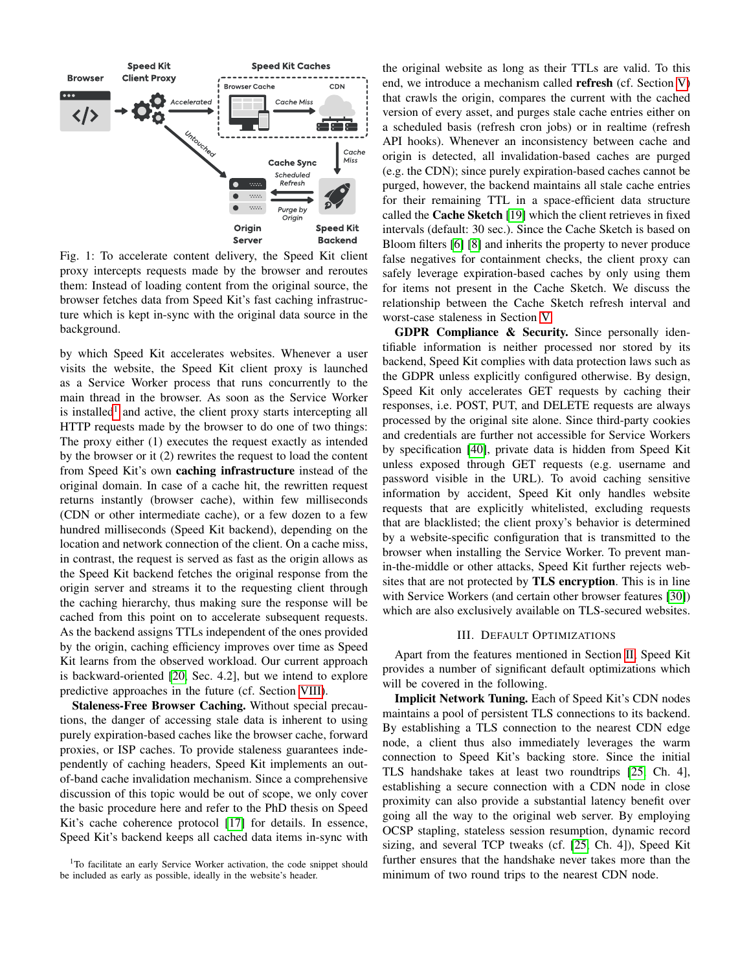<span id="page-1-1"></span>

Fig. 1: To accelerate content delivery, the Speed Kit client proxy intercepts requests made by the browser and reroutes them: Instead of loading content from the original source, the browser fetches data from Speed Kit's fast caching infrastructure which is kept in-sync with the original data source in the background.

by which Speed Kit accelerates websites. Whenever a user visits the website, the Speed Kit client proxy is launched as a Service Worker process that runs concurrently to the main thread in the browser. As soon as the Service Worker is installed<sup>[1](#page-1-2)</sup> and active, the client proxy starts intercepting all HTTP requests made by the browser to do one of two things: The proxy either (1) executes the request exactly as intended by the browser or it (2) rewrites the request to load the content from Speed Kit's own caching infrastructure instead of the original domain. In case of a cache hit, the rewritten request returns instantly (browser cache), within few milliseconds (CDN or other intermediate cache), or a few dozen to a few hundred milliseconds (Speed Kit backend), depending on the location and network connection of the client. On a cache miss, in contrast, the request is served as fast as the origin allows as the Speed Kit backend fetches the original response from the origin server and streams it to the requesting client through the caching hierarchy, thus making sure the response will be cached from this point on to accelerate subsequent requests. As the backend assigns TTLs independent of the ones provided by the origin, caching efficiency improves over time as Speed Kit learns from the observed workload. Our current approach is backward-oriented [\[20,](#page-5-9) Sec. 4.2], but we intend to explore predictive approaches in the future (cf. Section [VIII\)](#page-5-6).

Staleness-Free Browser Caching. Without special precautions, the danger of accessing stale data is inherent to using purely expiration-based caches like the browser cache, forward proxies, or ISP caches. To provide staleness guarantees independently of caching headers, Speed Kit implements an outof-band cache invalidation mechanism. Since a comprehensive discussion of this topic would be out of scope, we only cover the basic procedure here and refer to the PhD thesis on Speed Kit's cache coherence protocol [\[17\]](#page-5-10) for details. In essence, Speed Kit's backend keeps all cached data items in-sync with

the original website as long as their TTLs are valid. To this end, we introduce a mechanism called refresh (cf. Section [V\)](#page-2-1) that crawls the origin, compares the current with the cached version of every asset, and purges stale cache entries either on a scheduled basis (refresh cron jobs) or in realtime (refresh API hooks). Whenever an inconsistency between cache and origin is detected, all invalidation-based caches are purged (e.g. the CDN); since purely expiration-based caches cannot be purged, however, the backend maintains all stale cache entries for their remaining TTL in a space-efficient data structure called the Cache Sketch [\[19\]](#page-5-11) which the client retrieves in fixed intervals (default: 30 sec.). Since the Cache Sketch is based on Bloom filters [\[6\]](#page-5-12) [\[8\]](#page-5-13) and inherits the property to never produce false negatives for containment checks, the client proxy can safely leverage expiration-based caches by only using them for items not present in the Cache Sketch. We discuss the relationship between the Cache Sketch refresh interval and worst-case staleness in Section [V.](#page-2-1)

GDPR Compliance & Security. Since personally identifiable information is neither processed nor stored by its backend, Speed Kit complies with data protection laws such as the GDPR unless explicitly configured otherwise. By design, Speed Kit only accelerates GET requests by caching their responses, i.e. POST, PUT, and DELETE requests are always processed by the original site alone. Since third-party cookies and credentials are further not accessible for Service Workers by specification [\[40\]](#page-5-14), private data is hidden from Speed Kit unless exposed through GET requests (e.g. username and password visible in the URL). To avoid caching sensitive information by accident, Speed Kit only handles website requests that are explicitly whitelisted, excluding requests that are blacklisted; the client proxy's behavior is determined by a website-specific configuration that is transmitted to the browser when installing the Service Worker. To prevent manin-the-middle or other attacks, Speed Kit further rejects websites that are not protected by **TLS encryption**. This is in line with Service Workers (and certain other browser features [\[30\]](#page-5-15)) which are also exclusively available on TLS-secured websites.

## III. DEFAULT OPTIMIZATIONS

<span id="page-1-0"></span>Apart from the features mentioned in Section [II,](#page-0-0) Speed Kit provides a number of significant default optimizations which will be covered in the following.

Implicit Network Tuning. Each of Speed Kit's CDN nodes maintains a pool of persistent TLS connections to its backend. By establishing a TLS connection to the nearest CDN edge node, a client thus also immediately leverages the warm connection to Speed Kit's backing store. Since the initial TLS handshake takes at least two roundtrips [\[25,](#page-5-16) Ch. 4], establishing a secure connection with a CDN node in close proximity can also provide a substantial latency benefit over going all the way to the original web server. By employing OCSP stapling, stateless session resumption, dynamic record sizing, and several TCP tweaks (cf. [\[25,](#page-5-16) Ch. 4]), Speed Kit further ensures that the handshake never takes more than the minimum of two round trips to the nearest CDN node.

<span id="page-1-2"></span><sup>&</sup>lt;sup>1</sup>To facilitate an early Service Worker activation, the code snippet should be included as early as possible, ideally in the website's header.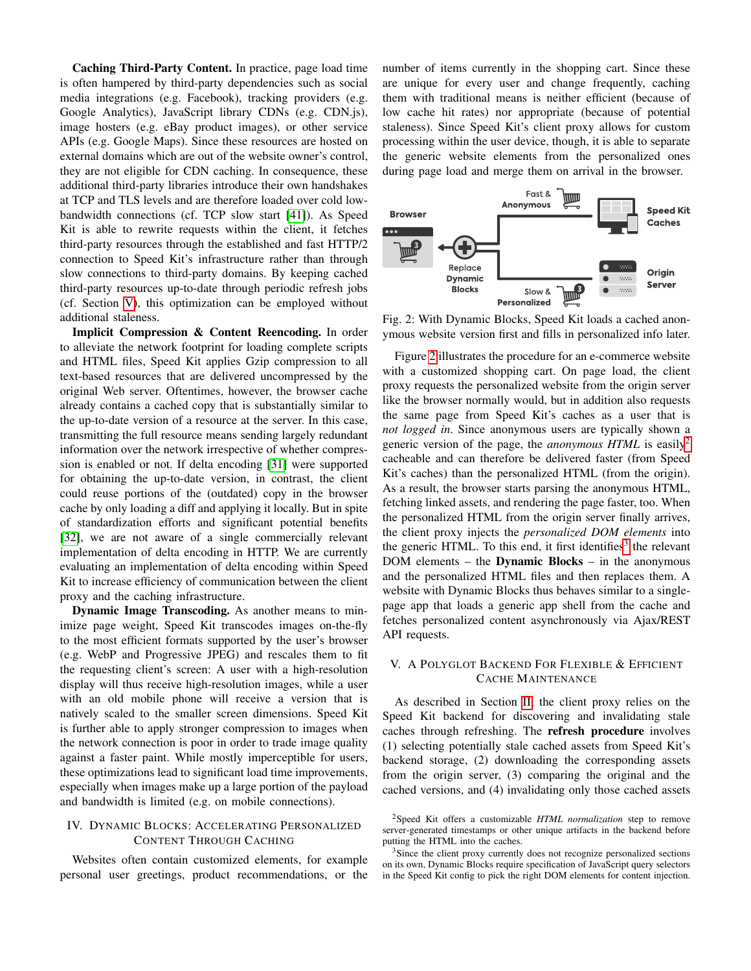Caching Third-Party Content. In practice, page load time is often hampered by third-party dependencies such as social media integrations (e.g. Facebook), tracking providers (e.g. Google Analytics), JavaScript library CDNs (e.g. CDN.js), image hosters (e.g. eBay product images), or other service APIs (e.g. Google Maps). Since these resources are hosted on external domains which are out of the website owner's control, they are not eligible for CDN caching. In consequence, these additional third-party libraries introduce their own handshakes at TCP and TLS levels and are therefore loaded over cold lowbandwidth connections (cf. TCP slow start [\[41\]](#page-5-17)). As Speed Kit is able to rewrite requests within the client, it fetches third-party resources through the established and fast HTTP/2 connection to Speed Kit's infrastructure rather than through slow connections to third-party domains. By keeping cached third-party resources up-to-date through periodic refresh jobs (cf. Section [V\)](#page-2-1), this optimization can be employed without additional staleness.

Implicit Compression & Content Reencoding. In order to alleviate the network footprint for loading complete scripts and HTML files, Speed Kit applies Gzip compression to all text-based resources that are delivered uncompressed by the original Web server. Oftentimes, however, the browser cache already contains a cached copy that is substantially similar to the up-to-date version of a resource at the server. In this case, transmitting the full resource means sending largely redundant information over the network irrespective of whether compression is enabled or not. If delta encoding [\[31\]](#page-5-18) were supported for obtaining the up-to-date version, in contrast, the client could reuse portions of the (outdated) copy in the browser cache by only loading a diff and applying it locally. But in spite of standardization efforts and significant potential benefits [\[32\]](#page-5-19), we are not aware of a single commercially relevant implementation of delta encoding in HTTP. We are currently evaluating an implementation of delta encoding within Speed Kit to increase efficiency of communication between the client proxy and the caching infrastructure.

Dynamic Image Transcoding. As another means to minimize page weight, Speed Kit transcodes images on-the-fly to the most efficient formats supported by the user's browser (e.g. WebP and Progressive JPEG) and rescales them to fit the requesting client's screen: A user with a high-resolution display will thus receive high-resolution images, while a user with an old mobile phone will receive a version that is natively scaled to the smaller screen dimensions. Speed Kit is further able to apply stronger compression to images when the network connection is poor in order to trade image quality against a faster paint. While mostly imperceptible for users, these optimizations lead to significant load time improvements, especially when images make up a large portion of the payload and bandwidth is limited (e.g. on mobile connections).

## <span id="page-2-0"></span>IV. DYNAMIC BLOCKS: ACCELERATING PERSONALIZED CONTENT THROUGH CACHING

Websites often contain customized elements, for example personal user greetings, product recommendations, or the number of items currently in the shopping cart. Since these are unique for every user and change frequently, caching them with traditional means is neither efficient (because of low cache hit rates) nor appropriate (because of potential staleness). Since Speed Kit's client proxy allows for custom processing within the user device, though, it is able to separate the generic website elements from the personalized ones during page load and merge them on arrival in the browser.

<span id="page-2-2"></span>

Fig. 2: With Dynamic Blocks, Speed Kit loads a cached anonymous website version first and fills in personalized info later.

Figure [2](#page-2-2) illustrates the procedure for an e-commerce website with a customized shopping cart. On page load, the client proxy requests the personalized website from the origin server like the browser normally would, but in addition also requests the same page from Speed Kit's caches as a user that is *not logged in*. Since anonymous users are typically shown a generic version of the page, the *anonymous HTML* is easily[2](#page-2-3) cacheable and can therefore be delivered faster (from Speed Kit's caches) than the personalized HTML (from the origin). As a result, the browser starts parsing the anonymous HTML, fetching linked assets, and rendering the page faster, too. When the personalized HTML from the origin server finally arrives, the client proxy injects the *personalized DOM elements* into the generic HTML. To this end, it first identifies<sup>[3](#page-2-4)</sup> the relevant DOM elements – the Dynamic Blocks – in the anonymous and the personalized HTML files and then replaces them. A website with Dynamic Blocks thus behaves similar to a singlepage app that loads a generic app shell from the cache and fetches personalized content asynchronously via Ajax/REST API requests.

## <span id="page-2-1"></span>V. A POLYGLOT BACKEND FOR FLEXIBLE & EFFICIENT CACHE MAINTENANCE

As described in Section [II,](#page-0-0) the client proxy relies on the Speed Kit backend for discovering and invalidating stale caches through refreshing. The refresh procedure involves (1) selecting potentially stale cached assets from Speed Kit's backend storage, (2) downloading the corresponding assets from the origin server, (3) comparing the original and the cached versions, and (4) invalidating only those cached assets

<span id="page-2-3"></span><sup>2</sup>Speed Kit offers a customizable *HTML normalization* step to remove server-generated timestamps or other unique artifacts in the backend before putting the HTML into the caches.

<span id="page-2-4"></span><sup>&</sup>lt;sup>3</sup>Since the client proxy currently does not recognize personalized sections on its own, Dynamic Blocks require specification of JavaScript query selectors in the Speed Kit config to pick the right DOM elements for content injection.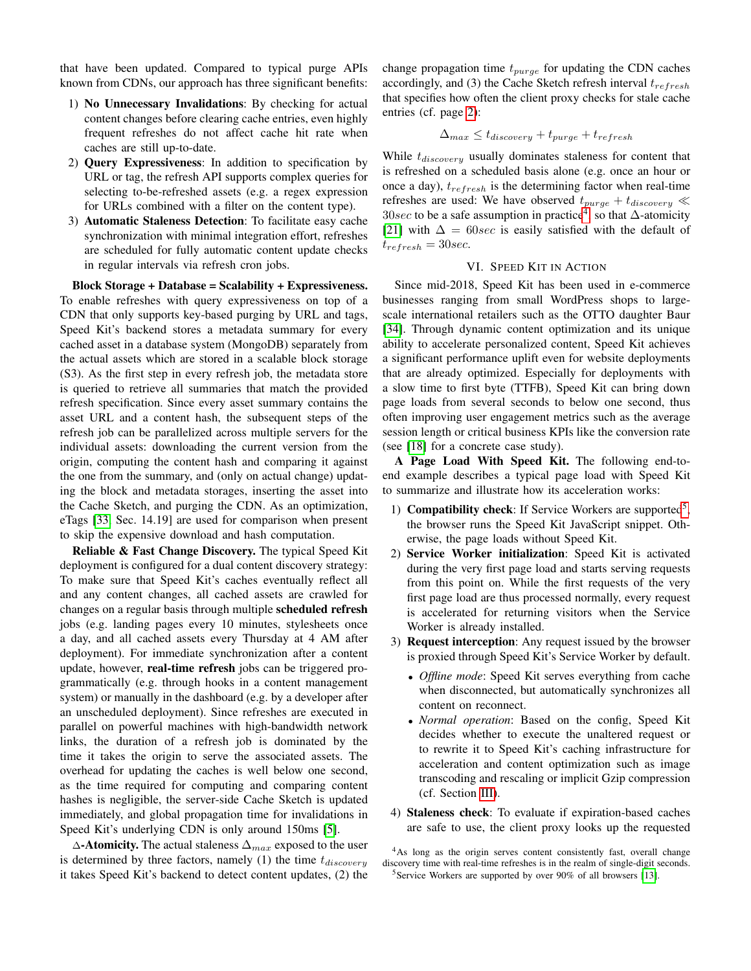that have been updated. Compared to typical purge APIs known from CDNs, our approach has three significant benefits:

- 1) No Unnecessary Invalidations: By checking for actual content changes before clearing cache entries, even highly frequent refreshes do not affect cache hit rate when caches are still up-to-date.
- 2) Query Expressiveness: In addition to specification by URL or tag, the refresh API supports complex queries for selecting to-be-refreshed assets (e.g. a regex expression for URLs combined with a filter on the content type).
- 3) Automatic Staleness Detection: To facilitate easy cache synchronization with minimal integration effort, refreshes are scheduled for fully automatic content update checks in regular intervals via refresh cron jobs.

Block Storage + Database = Scalability + Expressiveness. To enable refreshes with query expressiveness on top of a CDN that only supports key-based purging by URL and tags, Speed Kit's backend stores a metadata summary for every cached asset in a database system (MongoDB) separately from the actual assets which are stored in a scalable block storage (S3). As the first step in every refresh job, the metadata store is queried to retrieve all summaries that match the provided refresh specification. Since every asset summary contains the asset URL and a content hash, the subsequent steps of the refresh job can be parallelized across multiple servers for the individual assets: downloading the current version from the origin, computing the content hash and comparing it against the one from the summary, and (only on actual change) updating the block and metadata storages, inserting the asset into the Cache Sketch, and purging the CDN. As an optimization, eTags [\[33,](#page-5-20) Sec. 14.19] are used for comparison when present to skip the expensive download and hash computation.

Reliable & Fast Change Discovery. The typical Speed Kit deployment is configured for a dual content discovery strategy: To make sure that Speed Kit's caches eventually reflect all and any content changes, all cached assets are crawled for changes on a regular basis through multiple scheduled refresh jobs (e.g. landing pages every 10 minutes, stylesheets once a day, and all cached assets every Thursday at 4 AM after deployment). For immediate synchronization after a content update, however, real-time refresh jobs can be triggered programmatically (e.g. through hooks in a content management system) or manually in the dashboard (e.g. by a developer after an unscheduled deployment). Since refreshes are executed in parallel on powerful machines with high-bandwidth network links, the duration of a refresh job is dominated by the time it takes the origin to serve the associated assets. The overhead for updating the caches is well below one second, as the time required for computing and comparing content hashes is negligible, the server-side Cache Sketch is updated immediately, and global propagation time for invalidations in Speed Kit's underlying CDN is only around 150ms [\[5\]](#page-5-21).

 $\Delta$ -Atomicity. The actual staleness  $\Delta_{max}$  exposed to the user is determined by three factors, namely (1) the time  $t_{discover}$ it takes Speed Kit's backend to detect content updates, (2) the change propagation time  $t_{pure}$  for updating the CDN caches accordingly, and (3) the Cache Sketch refresh interval  $t_{refresh}$ that specifies how often the client proxy checks for stale cache entries (cf. page [2\)](#page-1-1):

$$
\Delta_{max} \leq t_{discovery} + t_{pure} + t_{refresh}
$$

While  $t_{discovery}$  usually dominates staleness for content that is refreshed on a scheduled basis alone (e.g. once an hour or once a day),  $t_{refresh}$  is the determining factor when real-time refreshes are used: We have observed  $t_{pure} + t_{discovery} \ll$ 30sec to be a safe assumption in practice<sup>[4](#page-3-1)</sup>, so that ∆-atomicity [\[21\]](#page-5-22) with  $\Delta = 60 \sec$  is easily satisfied with the default of  $t_{refresh} = 30 sec.$ 

## VI. SPEED KIT IN ACTION

<span id="page-3-0"></span>Since mid-2018, Speed Kit has been used in e-commerce businesses ranging from small WordPress shops to largescale international retailers such as the OTTO daughter Baur [\[34\]](#page-5-23). Through dynamic content optimization and its unique ability to accelerate personalized content, Speed Kit achieves a significant performance uplift even for website deployments that are already optimized. Especially for deployments with a slow time to first byte (TTFB), Speed Kit can bring down page loads from several seconds to below one second, thus often improving user engagement metrics such as the average session length or critical business KPIs like the conversion rate (see [\[18\]](#page-5-24) for a concrete case study).

A Page Load With Speed Kit. The following end-toend example describes a typical page load with Speed Kit to summarize and illustrate how its acceleration works:

- 1) Compatibility check: If Service Workers are supported<sup>[5](#page-3-2)</sup>, the browser runs the Speed Kit JavaScript snippet. Otherwise, the page loads without Speed Kit.
- 2) Service Worker initialization: Speed Kit is activated during the very first page load and starts serving requests from this point on. While the first requests of the very first page load are thus processed normally, every request is accelerated for returning visitors when the Service Worker is already installed.
- 3) Request interception: Any request issued by the browser is proxied through Speed Kit's Service Worker by default.
	- *Offline mode*: Speed Kit serves everything from cache when disconnected, but automatically synchronizes all content on reconnect.
	- *Normal operation*: Based on the config, Speed Kit decides whether to execute the unaltered request or to rewrite it to Speed Kit's caching infrastructure for acceleration and content optimization such as image transcoding and rescaling or implicit Gzip compression (cf. Section [III\)](#page-1-0).
- 4) Staleness check: To evaluate if expiration-based caches are safe to use, the client proxy looks up the requested

<span id="page-3-2"></span><span id="page-3-1"></span><sup>&</sup>lt;sup>4</sup>As long as the origin serves content consistently fast, overall change discovery time with real-time refreshes is in the realm of single-digit seconds. <sup>5</sup>Service Workers are supported by over 90% of all browsers [\[13\]](#page-5-25).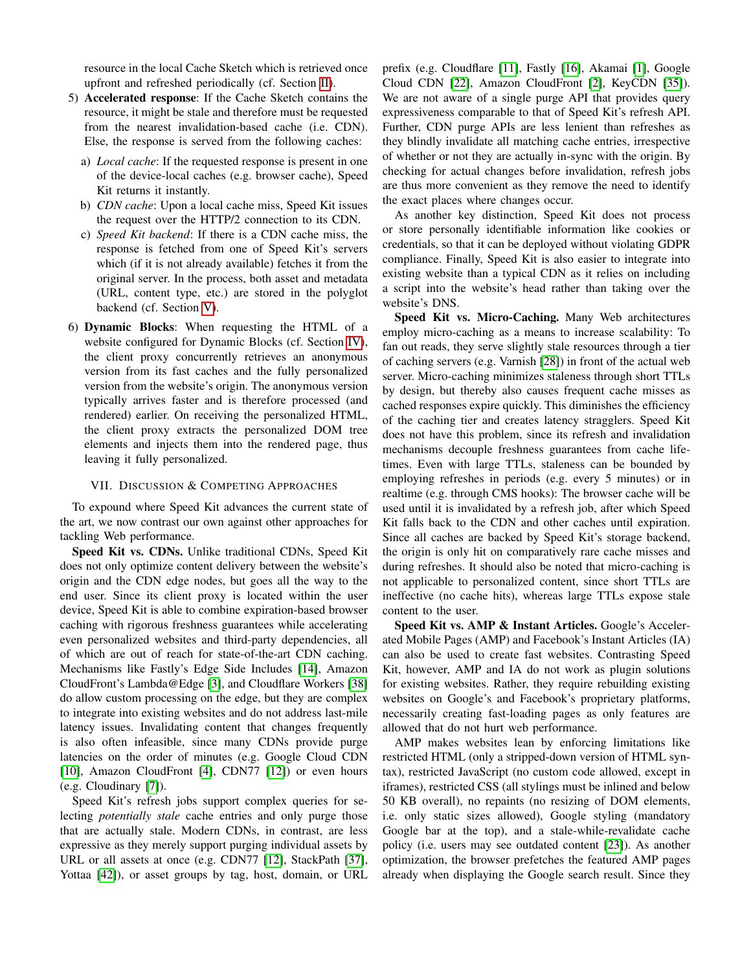resource in the local Cache Sketch which is retrieved once upfront and refreshed periodically (cf. Section [II\)](#page-1-1).

- 5) Accelerated response: If the Cache Sketch contains the resource, it might be stale and therefore must be requested from the nearest invalidation-based cache (i.e. CDN). Else, the response is served from the following caches:
	- a) *Local cache*: If the requested response is present in one of the device-local caches (e.g. browser cache), Speed Kit returns it instantly.
	- b) *CDN cache*: Upon a local cache miss, Speed Kit issues the request over the HTTP/2 connection to its CDN.
	- c) *Speed Kit backend*: If there is a CDN cache miss, the response is fetched from one of Speed Kit's servers which (if it is not already available) fetches it from the original server. In the process, both asset and metadata (URL, content type, etc.) are stored in the polyglot backend (cf. Section [V\)](#page-2-1).
- 6) Dynamic Blocks: When requesting the HTML of a website configured for Dynamic Blocks (cf. Section [IV\)](#page-2-0), the client proxy concurrently retrieves an anonymous version from its fast caches and the fully personalized version from the website's origin. The anonymous version typically arrives faster and is therefore processed (and rendered) earlier. On receiving the personalized HTML, the client proxy extracts the personalized DOM tree elements and injects them into the rendered page, thus leaving it fully personalized.

### VII. DISCUSSION & COMPETING APPROACHES

<span id="page-4-0"></span>To expound where Speed Kit advances the current state of the art, we now contrast our own against other approaches for tackling Web performance.

Speed Kit vs. CDNs. Unlike traditional CDNs, Speed Kit does not only optimize content delivery between the website's origin and the CDN edge nodes, but goes all the way to the end user. Since its client proxy is located within the user device, Speed Kit is able to combine expiration-based browser caching with rigorous freshness guarantees while accelerating even personalized websites and third-party dependencies, all of which are out of reach for state-of-the-art CDN caching. Mechanisms like Fastly's Edge Side Includes [\[14\]](#page-5-26), Amazon CloudFront's Lambda@Edge [\[3\]](#page-5-27), and Cloudflare Workers [\[38\]](#page-5-28) do allow custom processing on the edge, but they are complex to integrate into existing websites and do not address last-mile latency issues. Invalidating content that changes frequently is also often infeasible, since many CDNs provide purge latencies on the order of minutes (e.g. Google Cloud CDN [\[10\]](#page-5-29), Amazon CloudFront [\[4\]](#page-5-30), CDN77 [\[12\]](#page-5-31)) or even hours (e.g. Cloudinary [\[7\]](#page-5-32)).

Speed Kit's refresh jobs support complex queries for selecting *potentially stale* cache entries and only purge those that are actually stale. Modern CDNs, in contrast, are less expressive as they merely support purging individual assets by URL or all assets at once (e.g. CDN77 [\[12\]](#page-5-31), StackPath [\[37\]](#page-5-33), Yottaa [\[42\]](#page-5-34)), or asset groups by tag, host, domain, or URL prefix (e.g. Cloudflare [\[11\]](#page-5-35), Fastly [\[16\]](#page-5-36), Akamai [\[1\]](#page-5-37), Google Cloud CDN [\[22\]](#page-5-38), Amazon CloudFront [\[2\]](#page-5-39), KeyCDN [\[35\]](#page-5-40)). We are not aware of a single purge API that provides query expressiveness comparable to that of Speed Kit's refresh API. Further, CDN purge APIs are less lenient than refreshes as they blindly invalidate all matching cache entries, irrespective of whether or not they are actually in-sync with the origin. By checking for actual changes before invalidation, refresh jobs are thus more convenient as they remove the need to identify the exact places where changes occur.

As another key distinction, Speed Kit does not process or store personally identifiable information like cookies or credentials, so that it can be deployed without violating GDPR compliance. Finally, Speed Kit is also easier to integrate into existing website than a typical CDN as it relies on including a script into the website's head rather than taking over the website's DNS.

Speed Kit vs. Micro-Caching. Many Web architectures employ micro-caching as a means to increase scalability: To fan out reads, they serve slightly stale resources through a tier of caching servers (e.g. Varnish [\[28\]](#page-5-41)) in front of the actual web server. Micro-caching minimizes staleness through short TTLs by design, but thereby also causes frequent cache misses as cached responses expire quickly. This diminishes the efficiency of the caching tier and creates latency stragglers. Speed Kit does not have this problem, since its refresh and invalidation mechanisms decouple freshness guarantees from cache lifetimes. Even with large TTLs, staleness can be bounded by employing refreshes in periods (e.g. every 5 minutes) or in realtime (e.g. through CMS hooks): The browser cache will be used until it is invalidated by a refresh job, after which Speed Kit falls back to the CDN and other caches until expiration. Since all caches are backed by Speed Kit's storage backend, the origin is only hit on comparatively rare cache misses and during refreshes. It should also be noted that micro-caching is not applicable to personalized content, since short TTLs are ineffective (no cache hits), whereas large TTLs expose stale content to the user.

Speed Kit vs. AMP & Instant Articles. Google's Accelerated Mobile Pages (AMP) and Facebook's Instant Articles (IA) can also be used to create fast websites. Contrasting Speed Kit, however, AMP and IA do not work as plugin solutions for existing websites. Rather, they require rebuilding existing websites on Google's and Facebook's proprietary platforms, necessarily creating fast-loading pages as only features are allowed that do not hurt web performance.

AMP makes websites lean by enforcing limitations like restricted HTML (only a stripped-down version of HTML syntax), restricted JavaScript (no custom code allowed, except in iframes), restricted CSS (all stylings must be inlined and below 50 KB overall), no repaints (no resizing of DOM elements, i.e. only static sizes allowed), Google styling (mandatory Google bar at the top), and a stale-while-revalidate cache policy (i.e. users may see outdated content [\[23\]](#page-5-42)). As another optimization, the browser prefetches the featured AMP pages already when displaying the Google search result. Since they